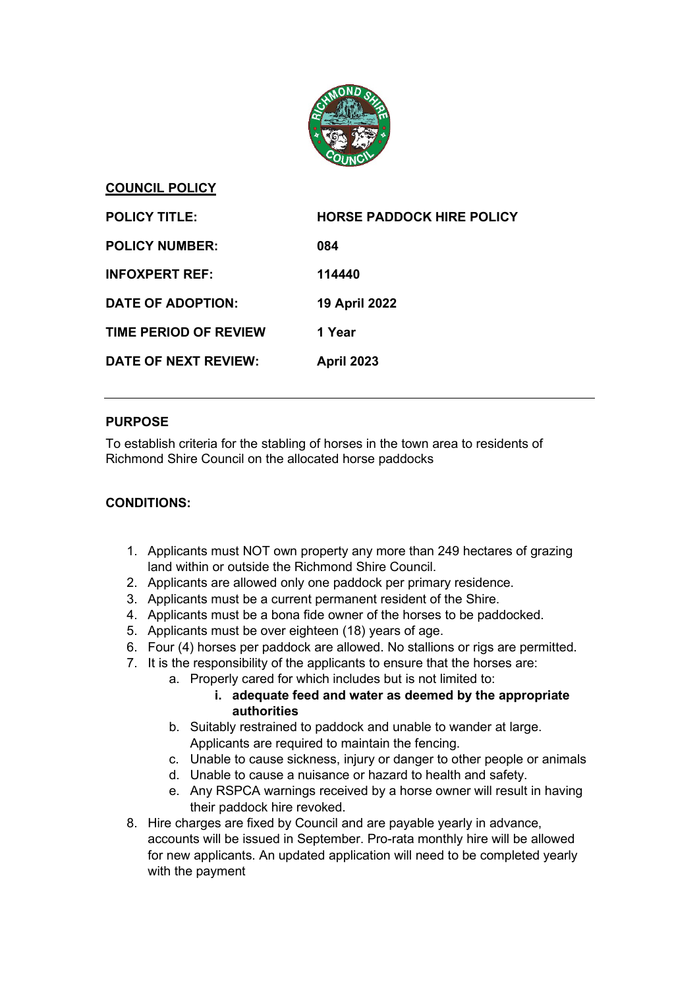

## **COUNCIL POLICY**

| <b>POLICY TITLE:</b>         | <b>HORSE PADDOCK HIRE POLICY</b> |
|------------------------------|----------------------------------|
| <b>POLICY NUMBER:</b>        | 084                              |
| <b>INFOXPERT REF:</b>        | 114440                           |
| DATE OF ADOPTION:            | <b>19 April 2022</b>             |
| <b>TIME PERIOD OF REVIEW</b> | 1 Year                           |
| <b>DATE OF NEXT REVIEW:</b>  | <b>April 2023</b>                |

# **PURPOSE**

To establish criteria for the stabling of horses in the town area to residents of Richmond Shire Council on the allocated horse paddocks

# **CONDITIONS:**

- 1. Applicants must NOT own property any more than 249 hectares of grazing land within or outside the Richmond Shire Council.
- 2. Applicants are allowed only one paddock per primary residence.
- 3. Applicants must be a current permanent resident of the Shire.
- 4. Applicants must be a bona fide owner of the horses to be paddocked.
- 5. Applicants must be over eighteen (18) years of age.
- 6. Four (4) horses per paddock are allowed. No stallions or rigs are permitted.
- 7. It is the responsibility of the applicants to ensure that the horses are:
	- a. Properly cared for which includes but is not limited to:

# **i. adequate feed and water as deemed by the appropriate authorities**

- b. Suitably restrained to paddock and unable to wander at large. Applicants are required to maintain the fencing.
- c. Unable to cause sickness, injury or danger to other people or animals
- d. Unable to cause a nuisance or hazard to health and safety.
- e. Any RSPCA warnings received by a horse owner will result in having their paddock hire revoked.
- 8. Hire charges are fixed by Council and are payable yearly in advance, accounts will be issued in September. Pro-rata monthly hire will be allowed for new applicants. An updated application will need to be completed yearly with the payment